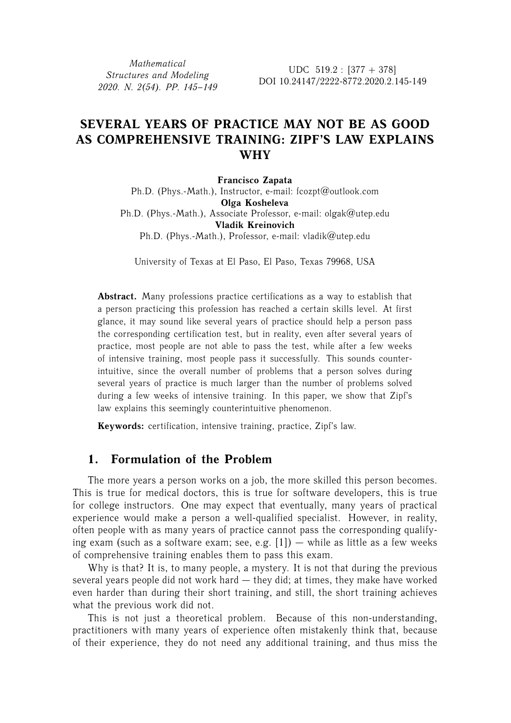*Mathematical Structures and Modeling 2020. N. 2(54). PP. 145–149*

UDC  $519.2 : [377 + 378]$ DOI 10.24147/2222-8772.2020.2.145-149

# **SEVERAL YEARS OF PRACTICE MAY NOT BE AS GOOD AS COMPREHENSIVE TRAINING: ZIPF'S LAW EXPLAINS WHY**

**Francisco Zapata** Ph.D. (Phys.-Math.), Instructor, e-mail: fcozpt@outlook.com **Olga Kosheleva** Ph.D. (Phys.-Math.), Associate Professor, e-mail: olgak@utep.edu **Vladik Kreinovich** Ph.D. (Phys.-Math.), Professor, e-mail: vladik@utep.edu

University of Texas at El Paso, El Paso, Texas 79968, USA

**Abstract.** Many professions practice certifications as a way to establish that a person practicing this profession has reached a certain skills level. At first glance, it may sound like several years of practice should help a person pass the corresponding certification test, but in reality, even after several years of practice, most people are not able to pass the test, while after a few weeks of intensive training, most people pass it successfully. This sounds counterintuitive, since the overall number of problems that a person solves during several years of practice is much larger than the number of problems solved during a few weeks of intensive training. In this paper, we show that Zipf's law explains this seemingly counterintuitive phenomenon.

**Keywords:** certification, intensive training, practice, Zipf's law.

# **1. Formulation of the Problem**

The more years a person works on a job, the more skilled this person becomes. This is true for medical doctors, this is true for software developers, this is true for college instructors. One may expect that eventually, many years of practical experience would make a person a well-qualified specialist. However, in reality, often people with as many years of practice cannot pass the corresponding qualifying exam (such as a software exam; see, e.g.  $[1]$ ) — while as little as a few weeks of comprehensive training enables them to pass this exam.

Why is that? It is, to many people, a mystery. It is not that during the previous several years people did not work hard — they did; at times, they make have worked even harder than during their short training, and still, the short training achieves what the previous work did not.

This is not just a theoretical problem. Because of this non-understanding, practitioners with many years of experience often mistakenly think that, because of their experience, they do not need any additional training, and thus miss the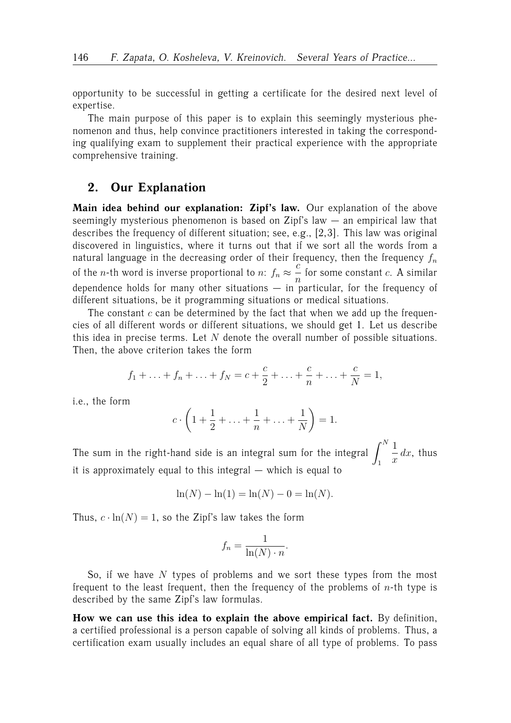opportunity to be successful in getting a certificate for the desired next level of expertise.

The main purpose of this paper is to explain this seemingly mysterious phenomenon and thus, help convince practitioners interested in taking the corresponding qualifying exam to supplement their practical experience with the appropriate comprehensive training.

## **2. Our Explanation**

**Main idea behind our explanation: Zipf's law.** Our explanation of the above seemingly mysterious phenomenon is based on Zipf's law — an empirical law that describes the frequency of different situation; see, e.g., [2,3]. This law was original discovered in linguistics, where it turns out that if we sort all the words from a natural language in the decreasing order of their frequency, then the frequency  $f_n$ of the *n*-th word is inverse proportional to  $n: f_n \approx \frac{c}{n}$  $\frac{a}{n}$  for some constant *c*. A similar dependence holds for many other situations  $-$  in particular, for the frequency of different situations, be it programming situations or medical situations.

The constant  $c$  can be determined by the fact that when we add up the frequencies of all different words or different situations, we should get 1. Let us describe this idea in precise terms. Let  $N$  denote the overall number of possible situations. Then, the above criterion takes the form

$$
f_1 + \ldots + f_n + \ldots + f_N = c + \frac{c}{2} + \ldots + \frac{c}{n} + \ldots + \frac{c}{N} = 1,
$$

i.e., the form

$$
c \cdot \left(1 + \frac{1}{2} + \ldots + \frac{1}{n} + \ldots + \frac{1}{N}\right) = 1.
$$

The sum in the right-hand side is an integral sum for the integral  $\int^N$ 1 1  $\frac{1}{x}$  dx, thus it is approximately equal to this integral — which is equal to

$$
\ln(N) - \ln(1) = \ln(N) - 0 = \ln(N).
$$

Thus,  $c \cdot \ln(N) = 1$ , so the Zipf's law takes the form

$$
f_n = \frac{1}{\ln(N) \cdot n}.
$$

So, if we have  $N$  types of problems and we sort these types from the most frequent to the least frequent, then the frequency of the problems of  $n$ -th type is described by the same Zipf's law formulas.

**How we can use this idea to explain the above empirical fact.** By definition, a certified professional is a person capable of solving all kinds of problems. Thus, a certification exam usually includes an equal share of all type of problems. To pass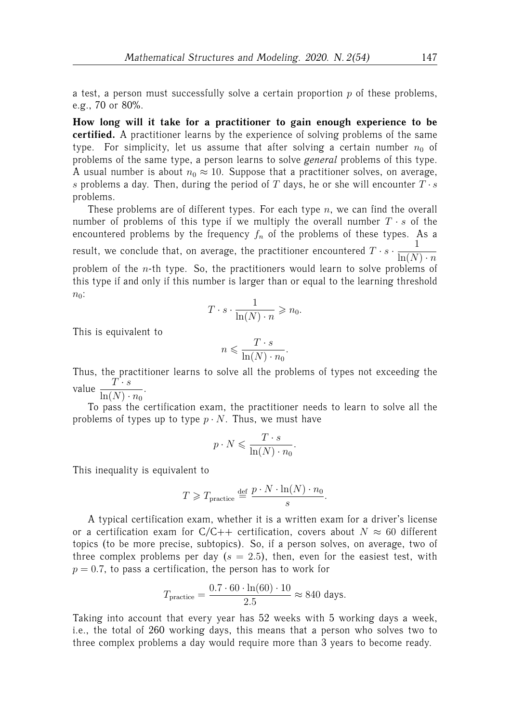a test, a person must successfully solve a certain proportion  $p$  of these problems, e.g., 70 or 80%.

**How long will it take for a practitioner to gain enough experience to be certified.** A practitioner learns by the experience of solving problems of the same type. For simplicity, let us assume that after solving a certain number  $n_0$  of problems of the same type, a person learns to solve *general* problems of this type. A usual number is about  $n_0 \approx 10$ . Suppose that a practitioner solves, on average, s problems a day. Then, during the period of  $T$  days, he or she will encounter  $T \cdot s$ problems.

These problems are of different types. For each type  $n$ , we can find the overall number of problems of this type if we multiply the overall number  $T \cdot s$  of the encountered problems by the frequency  $f_n$  of the problems of these types. As a result, we conclude that, on average, the practitioner encountered  $T \cdot s \cdot \frac{1}{1 - \Delta t}$  $ln(N) \cdot n$ problem of the  $n$ -th type. So, the practitioners would learn to solve problems of this type if and only if this number is larger than or equal to the learning threshold  $n_0$ :

$$
T \cdot s \cdot \frac{1}{\ln(N) \cdot n} \geqslant n_0.
$$

This is equivalent to

$$
n \leqslant \frac{T \cdot s}{\ln(N) \cdot n_0}.
$$

Thus, the practitioner learns to solve all the problems of types not exceeding the value  $\frac{T \cdot s}{1 - (N)}$ .

 $\ln(N) \cdot n_0$ 

To pass the certification exam, the practitioner needs to learn to solve all the problems of types up to type  $p \cdot N$ . Thus, we must have

$$
p \cdot N \leqslant \frac{T \cdot s}{\ln(N) \cdot n_0}.
$$

This inequality is equivalent to

$$
T \geqslant T_{\text{practive}} \stackrel{\text{def}}{=} \frac{p \cdot N \cdot \ln(N) \cdot n_0}{s}.
$$

A typical certification exam, whether it is a written exam for a driver's license or a certification exam for  $C/C++$  certification, covers about  $N \approx 60$  different topics (to be more precise, subtopics). So, if a person solves, on average, two of three complex problems per day ( $s = 2.5$ ), then, even for the easiest test, with  $p = 0.7$ , to pass a certification, the person has to work for

$$
T_{\text{practive}} = \frac{0.7 \cdot 60 \cdot \ln(60) \cdot 10}{2.5} \approx 840 \text{ days}.
$$

Taking into account that every year has 52 weeks with 5 working days a week, i.e., the total of 260 working days, this means that a person who solves two to three complex problems a day would require more than 3 years to become ready.